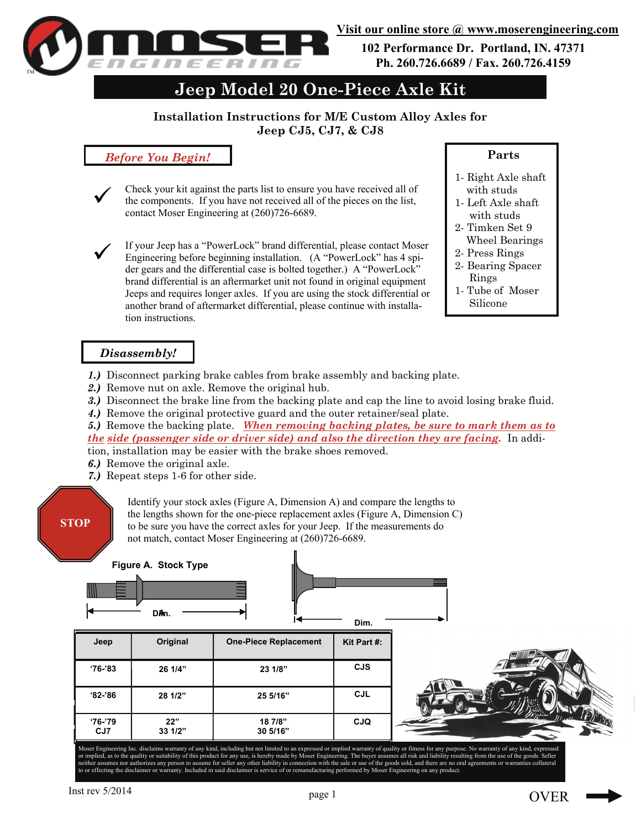

**102 Performance Dr. Portland, IN. 47371 Ph. 260.726.6689 / Fax. 260.726.4159** 

# **Jeep Model 20 One-Piece Axle Kit**

## **Installation Instructions for M/E Custom Alloy Axles for Jeep CJ5, CJ7, & CJ8**

### *Before You Begin!*

- Check your kit against the parts list to ensure you have received all of the components. If you have not received all of the pieces on the list, contact Moser Engineering at (260)726-6689.  $\checkmark$
- If your Jeep has a "PowerLock" brand differential, please contact Moser Engineering before beginning installation. (A "PowerLock" has 4 spider gears and the differential case is bolted together.) A "PowerLock" brand differential is an aftermarket unit not found in original equipment Jeeps and requires longer axles. If you are using the stock differential or another brand of aftermarket differential, please continue with installation instructions.  $\checkmark$

#### **Parts**

- 1- Right Axle shaft with studs
- 1- Left Axle shaft with studs
- 2- Timken Set 9 Wheel Bearings
- 2- Press Rings
- 2- Bearing Spacer Rings
- 1- Tube of Moser Silicone

## *Disassembly!*

- *1.)* Disconnect parking brake cables from brake assembly and backing plate.
- *2.)* Remove nut on axle. Remove the original hub.
- *3.)* Disconnect the brake line from the backing plate and cap the line to avoid losing brake fluid.
- *4.)* Remove the original protective guard and the outer retainer/seal plate.
- *5.)* Remove the backing plate. *When removing backing plates, be sure to mark them as to the side (passenger side or driver side) and also the direction they are facing.* In addi-

tion, installation may be easier with the brake shoes removed.

- *6.)* Remove the original axle.
- *7.)* Repeat steps 1-6 for other side.

## **STOP**

TM

Identify your stock axles (Figure A, Dimension A) and compare the lengths to the lengths shown for the one-piece replacement axles (Figure A, Dimension C) to be sure you have the correct axles for your Jeep. If the measurements do not match, contact Moser Engineering at (260)726-6689.

|                | Figure A. Stock Type<br>DA <sub>m</sub> |                              | Dim.        |  |
|----------------|-----------------------------------------|------------------------------|-------------|--|
| Jeep           | Original                                | <b>One-Piece Replacement</b> | Kit Part #: |  |
| $'76-'83$      | 26 1/4"                                 | 23 1/8"                      | <b>CJS</b>  |  |
| $82 - 86$      | 28 1/2"                                 | 25 5/16"                     | <b>CJL</b>  |  |
| '76-'79<br>CJ7 | 22"<br>$33 \frac{1}{2}$                 | 18 7/8"<br>30 5/16"          | <b>CJQ</b>  |  |